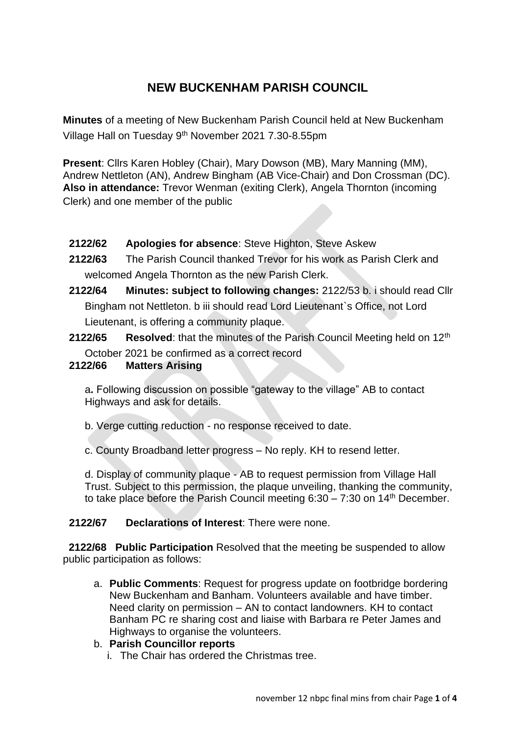# **NEW BUCKENHAM PARISH COUNCIL**

**Minutes** of a meeting of New Buckenham Parish Council held at New Buckenham Village Hall on Tuesday 9th November 2021 7.30-8.55pm

**Present**: Cllrs Karen Hobley (Chair), Mary Dowson (MB), Mary Manning (MM), Andrew Nettleton (AN), Andrew Bingham (AB Vice-Chair) and Don Crossman (DC). **Also in attendance:** Trevor Wenman (exiting Clerk), Angela Thornton (incoming Clerk) and one member of the public

- **2122/62 Apologies for absence**: Steve Highton, Steve Askew
- **2122/63** The Parish Council thanked Trevor for his work as Parish Clerk and welcomed Angela Thornton as the new Parish Clerk.
- **2122/64 Minutes: subject to following changes:** 2122/53 b. i should read Cllr Bingham not Nettleton. b iii should read Lord Lieutenant`s Office, not Lord Lieutenant, is offering a community plaque.
- **2122/65 Resolved:** that the minutes of the Parish Council Meeting held on 12<sup>th</sup> October 2021 be confirmed as a correct record

# **2122/66 Matters Arising**

a**.** Following discussion on possible "gateway to the village" AB to contact Highways and ask for details.

- b. Verge cutting reduction no response received to date.
- c. County Broadband letter progress No reply. KH to resend letter.

d. Display of community plaque - AB to request permission from Village Hall Trust. Subject to this permission, the plaque unveiling, thanking the community, to take place before the Parish Council meeting  $6:30 - 7:30$  on  $14<sup>th</sup>$  December.

# **2122/67 Declarations of Interest**: There were none.

 **2122/68 Public Participation** Resolved that the meeting be suspended to allow public participation as follows:

a. **Public Comments**: Request for progress update on footbridge bordering New Buckenham and Banham. Volunteers available and have timber. Need clarity on permission – AN to contact landowners. KH to contact Banham PC re sharing cost and liaise with Barbara re Peter James and Highways to organise the volunteers.

# b. **Parish Councillor reports**

i. The Chair has ordered the Christmas tree.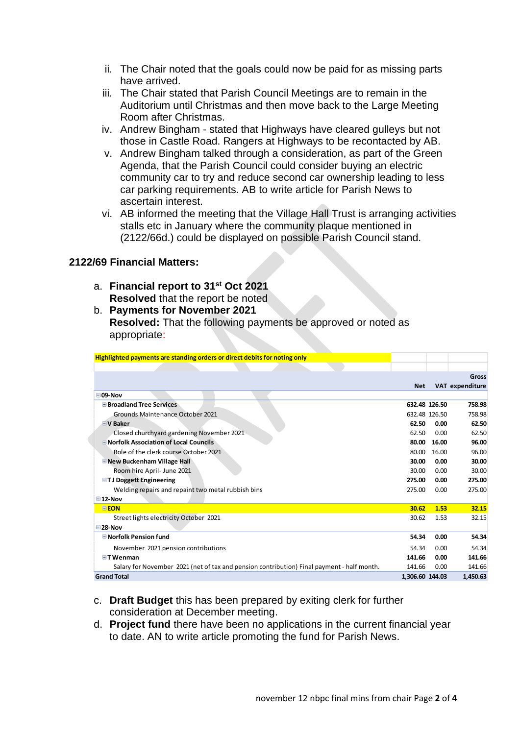- ii. The Chair noted that the goals could now be paid for as missing parts have arrived.
- iii. The Chair stated that Parish Council Meetings are to remain in the Auditorium until Christmas and then move back to the Large Meeting Room after Christmas.
- iv. Andrew Bingham stated that Highways have cleared gulleys but not those in Castle Road. Rangers at Highways to be recontacted by AB.
- v. Andrew Bingham talked through a consideration, as part of the Green Agenda, that the Parish Council could consider buying an electric community car to try and reduce second car ownership leading to less car parking requirements. AB to write article for Parish News to ascertain interest.
- vi. AB informed the meeting that the Village Hall Trust is arranging activities stalls etc in January where the community plaque mentioned in (2122/66d.) could be displayed on possible Parish Council stand.

## **2122/69 Financial Matters:**

- a. **Financial report to 31st Oct 2021 Resolved** that the report be noted
- b. **Payments for November 2021 Resolved:** That the following payments be approved or noted as appropriate:

| Highlighted payments are standing orders or direct debits for noting only                  |                 |               |                 |
|--------------------------------------------------------------------------------------------|-----------------|---------------|-----------------|
|                                                                                            |                 |               |                 |
|                                                                                            |                 |               | Gross           |
|                                                                                            | <b>Net</b>      |               | VAT expenditure |
| $\boxdot$ 09-Nov                                                                           |                 |               |                 |
| <b>E</b> Broadland Tree Services                                                           | 632.48 126.50   |               | 758.98          |
| Grounds Maintenance October 2021                                                           |                 | 632.48 126.50 | 758.98          |
| $\exists$ V Baker                                                                          | 62.50           | 0.00          | 62.50           |
| Closed churchyard gardening November 2021                                                  | 62.50           | 0.00          | 62.50           |
| <b>E</b> Norfolk Association of Local Councils                                             | 80.00           | 16.00         | 96.00           |
| Role of the clerk course October 2021                                                      | 80.00           | 16.00         | 96.00           |
| New Buckenham Village Hall                                                                 | 30.00           | 0.00          | 30.00           |
| Room hire April- June 2021                                                                 | 30.00           | 0.00          | 30.00           |
| <b>□TJ Doggett Engineering</b>                                                             | 275.00          | 0.00          | 275.00          |
| Welding repairs and repaint two metal rubbish bins                                         | 275.00          | 0.00          | 275.00          |
| $\boxdot$ 12-Nov                                                                           |                 |               |                 |
| <b>EEON</b>                                                                                | 30.62           | 1.53          | 32.15           |
| Street lights electricity October 2021                                                     | 30.62           | 1.53          | 32.15           |
| $\square$ 28-Nov                                                                           |                 |               |                 |
| <b>□Norfolk Pension fund</b>                                                               | 54.34           | 0.00          | 54.34           |
| November 2021 pension contributions                                                        | 54.34           | 0.00          | 54.34           |
| $\Box$ T Wenman                                                                            | 141.66          | 0.00          | 141.66          |
| Salary for November 2021 (net of tax and pension contribution) Final payment - half month. | 141.66          | 0.00          | 141.66          |
| <b>Grand Total</b>                                                                         | 1,306.60 144.03 |               | 1,450.63        |

- c. **Draft Budget** this has been prepared by exiting clerk for further consideration at December meeting.
- d. **Project fund** there have been no applications in the current financial year to date. AN to write article promoting the fund for Parish News.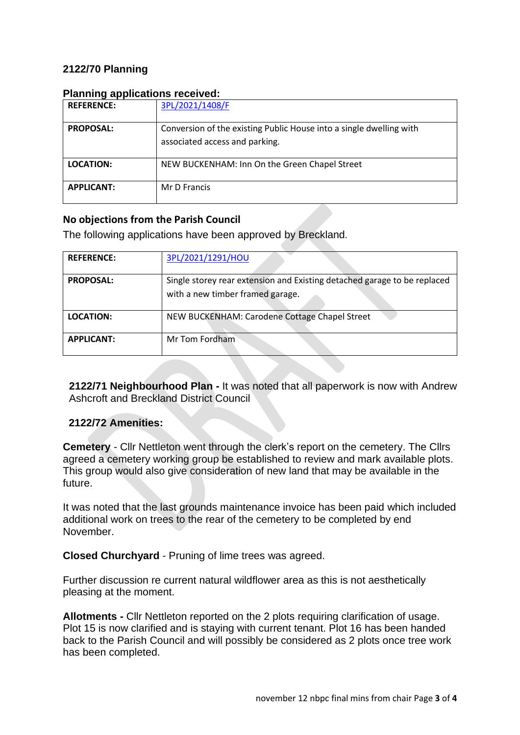# **2122/70 Planning**

| <u>I latifing applications received.</u> |                                                                                                       |  |
|------------------------------------------|-------------------------------------------------------------------------------------------------------|--|
| <b>REFERENCE:</b>                        | 3PL/2021/1408/F                                                                                       |  |
| <b>PROPOSAL:</b>                         | Conversion of the existing Public House into a single dwelling with<br>associated access and parking. |  |
| <b>LOCATION:</b>                         | NEW BUCKENHAM: Inn On the Green Chapel Street                                                         |  |
| <b>APPLICANT:</b>                        | Mr D Francis                                                                                          |  |

#### **Planning applications received:**

# **No objections from the Parish Council**

The following applications have been approved by Breckland.

| <b>REFERENCE:</b> | 3PL/2021/1291/HOU                                                                                            |
|-------------------|--------------------------------------------------------------------------------------------------------------|
| <b>PROPOSAL:</b>  | Single storey rear extension and Existing detached garage to be replaced<br>with a new timber framed garage. |
| <b>LOCATION:</b>  | NEW BUCKENHAM: Carodene Cottage Chapel Street                                                                |
| <b>APPLICANT:</b> | Mr Tom Fordham                                                                                               |

**2122/71 Neighbourhood Plan -** It was noted that all paperwork is now with Andrew Ashcroft and Breckland District Council

## **2122/72 Amenities:**

**Cemetery** - Cllr Nettleton went through the clerk's report on the cemetery. The Cllrs agreed a cemetery working group be established to review and mark available plots. This group would also give consideration of new land that may be available in the future.

It was noted that the last grounds maintenance invoice has been paid which included additional work on trees to the rear of the cemetery to be completed by end November.

**Closed Churchyard** - Pruning of lime trees was agreed.

Further discussion re current natural wildflower area as this is not aesthetically pleasing at the moment.

**Allotments -** Cllr Nettleton reported on the 2 plots requiring clarification of usage. Plot 15 is now clarified and is staying with current tenant. Plot 16 has been handed back to the Parish Council and will possibly be considered as 2 plots once tree work has been completed.